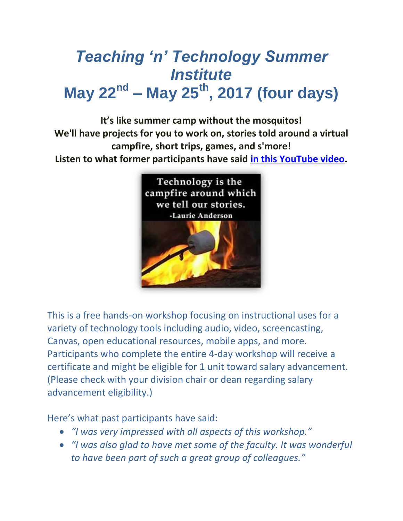# *Teaching 'n' Technology Summer Institute* **May 22nd – May 25th, 2017 (four days)**

**It's like summer camp without the mosquitos! We'll have projects for you to work on, stories told around a virtual campfire, short trips, games, and s'more! Listen to what former participants have said [in this YouTube video.](https://youtu.be/-opjkRZTJNE)**



This is a free hands-on workshop focusing on instructional uses for a variety of technology tools including audio, video, screencasting, Canvas, open educational resources, mobile apps, and more. Participants who complete the entire 4-day workshop will receive a certificate and might be eligible for 1 unit toward salary advancement. (Please check with your division chair or dean regarding salary advancement eligibility.)

Here's what past participants have said:

- *"I was very impressed with all aspects of this workshop."*
- *"I was also glad to have met some of the faculty. It was wonderful to have been part of such a great group of colleagues."*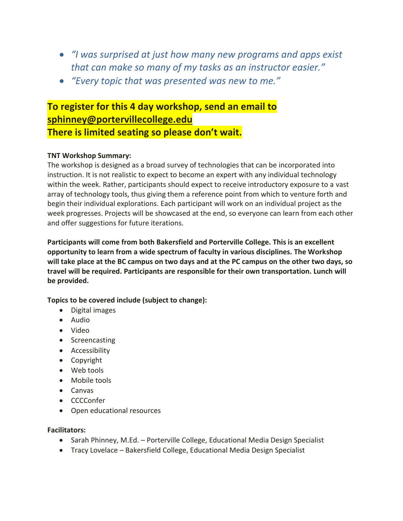- *"I was surprised at just how many new programs and apps exist that can make so many of my tasks as an instructor easier."*
- *"Every topic that was presented was new to me."*

## **To register for this 4 day workshop, send an email to [sphinney@portervillecollege.edu](mailto:sphinney@portervillecollege.edu?subject=TNT%202017) There is limited seating so please don't wait.**

### **TNT Workshop Summary:**

The workshop is designed as a broad survey of technologies that can be incorporated into instruction. It is not realistic to expect to become an expert with any individual technology within the week. Rather, participants should expect to receive introductory exposure to a vast array of technology tools, thus giving them a reference point from which to venture forth and begin their individual explorations. Each participant will work on an individual project as the week progresses. Projects will be showcased at the end, so everyone can learn from each other and offer suggestions for future iterations.

**Participants will come from both Bakersfield and Porterville College. This is an excellent opportunity to learn from a wide spectrum of faculty in various disciplines. The Workshop will take place at the BC campus on two days and at the PC campus on the other two days, so travel will be required. Participants are responsible for their own transportation. Lunch will be provided.**

**Topics to be covered include (subject to change):**

- Digital images
- Audio
- Video
- Screencasting
- Accessibility
- Copyright
- Web tools
- Mobile tools
- Canvas
- CCCConfer
- Open educational resources

#### **Facilitators:**

- Sarah Phinney, M.Ed. Porterville College, Educational Media Design Specialist
- Tracy Lovelace Bakersfield College, Educational Media Design Specialist